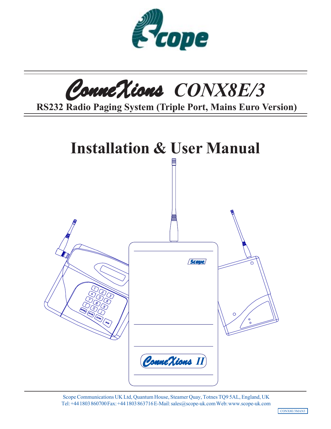



 **RS232 Radio Paging System (Triple Port, Mains Euro Version)**



Scope Communications UK Ltd, Quantum House, Steamer Quay, Totnes TQ9 5AL, England, UK Tel: +44 1803 860700 Fax: +44 1803 863716 E-Mail: sales@scope-uk.com Web: www.scope-uk.com

CONX8E/3MAN3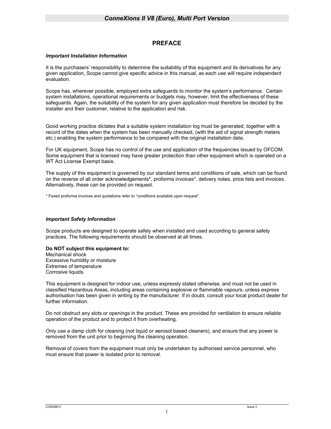### **PREFACE**

#### *Important Installation Information*

It is the purchasers' responsibility to determine the suitability of this equipment and its derivatives for any given application, Scope cannot give specific advice in this manual, as each use will require independent evaluation.

Scope has, wherever possible, employed extra safeguards to monitor the system's performance. Certain system installations, operational requirements or budgets may, however, limit the effectiveness of these safeguards. Again, the suitability of the system for any given application must therefore be decided by the installer and their customer, relative to the application and risk.

Good working practice dictates that a suitable system installation log must be generated, together with a record of the dates when the system has been manually checked, (with the aid of signal strength meters etc.) enabling the system performance to be compared with the original installation data.

For UK equipment, Scope has no control of the use and application of the frequencies issued by OFCOM. Some equipment that is licensed may have greater protection than other equipment which is operated on a WT Act License Exempt basis.

The supply of this equipment is governed by our standard terms and conditions of sale, which can be found on the reverse of all order acknowledgements\*, proforma invoices\*, delivery notes, price lists and invoices. Alternatively, these can be provided on request.

\* Faxed proforma invoices and quotations refer to "conditions available upon request".

### *Important Safety Information*

Scope products are designed to operate safely when installed and used according to general safety practices. The following requirements should be observed at all times.

#### **Do NOT subject this equipment to:**

Mechanical shock Excessive humidity or moisture Extremes of temperature Corrosive liquids

This equipment is designed for indoor use, unless expressly stated otherwise, and must not be used in classified Hazardous Areas, including areas containing explosive or flammable vapours, unless express authorisation has been given in writing by the manufacturer. If in doubt, consult your local product dealer for further information.

Do not obstruct any slots or openings in the product. These are provided for ventilation to ensure reliable operation of the product and to protect it from overheating.

Only use a damp cloth for cleaning (not liquid or aerosol based cleaners), and ensure that any power is removed from the unit prior to beginning the cleaning operation.

Removal of covers from the equipment must only be undertaken by authorised service personnel, who must ensure that power is isolated prior to removal.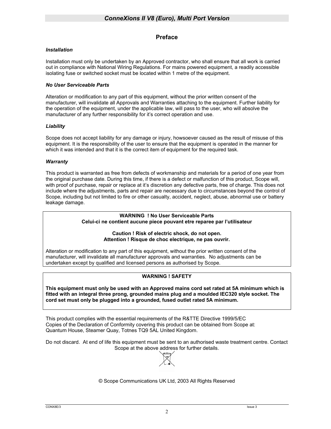### **Preface**

#### *Installation*

Installation must only be undertaken by an Approved contractor, who shall ensure that all work is carried out in compliance with National Wiring Regulations. For mains powered equipment, a readily accessible isolating fuse or switched socket must be located within 1 metre of the equipment.

#### *No User Serviceable Parts*

Alteration or modification to any part of this equipment, without the prior written consent of the manufacturer, will invalidate all Approvals and Warranties attaching to the equipment. Further liability for the operation of the equipment, under the applicable law, will pass to the user, who will absolve the manufacturer of any further responsibility for it's correct operation and use.

#### *Liability*

Scope does not accept liability for any damage or injury, howsoever caused as the result of misuse of this equipment. It is the responsibility of the user to ensure that the equipment is operated in the manner for which it was intended and that it is the correct item of equipment for the required task.

#### *Warranty*

This product is warranted as free from defects of workmanship and materials for a period of one year from the original purchase date. During this time, if there is a defect or malfunction of this product, Scope will, with proof of purchase, repair or replace at it's discretion any defective parts, free of charge. This does not include where the adjustments, parts and repair are necessary due to circumstances beyond the control of Scope, including but not limited to fire or other casualty, accident, neglect, abuse, abnormal use or battery leakage damage.

#### **WARNING ! No User Serviceable Parts Celui-ci ne contient aucune piece pouvant etre reparee par l'utilisateur**

#### **Caution ! Risk of electric shock, do not open. Attention ! Risque de choc electrique, ne pas ouvrir.**

Alteration or modification to any part of this equipment, without the prior written consent of the manufacturer, will invalidate all manufacturer approvals and warranties. No adjustments can be undertaken except by qualified and licensed persons as authorised by Scope.

### **WARNING ! SAFETY**

**This equipment must only be used with an Approved mains cord set rated at 5A minimum which is fitted with an integral three prong, grounded mains plug and a moulded IEC320 style socket. The cord set must only be plugged into a grounded, fused outlet rated 5A minimum.** 

This product complies with the essential requirements of the R&TTE Directive 1999/5/EC Copies of the Declaration of Conformity covering this product can be obtained from Scope at: Quantum House, Steamer Quay, Totnes TQ9 5AL United Kingdom.

Do not discard. At end of life this equipment must be sent to an authorised waste treatment centre. Contact Scope at the above address for further details.



#### © Scope Communications UK Ltd, 2003 All Rights Reserved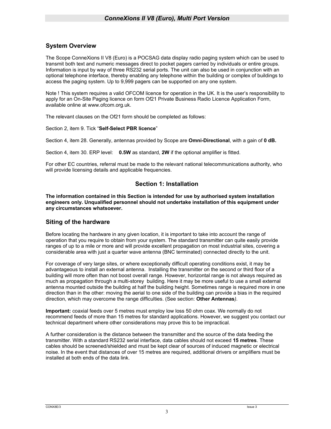### **System Overview**

The Scope ConneXions II V8 (Euro) is a POCSAG data display radio paging system which can be used to transmit both text and numeric messages direct to pocket pagers carried by individuals or entire groups. Information is input by way of three RS232 serial ports. The unit can also be used in conjunction with an optional telephone interface, thereby enabling any telephone within the building or complex of buildings to access the paging system. Up to 9,999 pagers can be supported on any one system.

Note ! This system requires a valid OFCOM licence for operation in the UK. It is the user's responsibility to apply for an On-Site Paging licence on form Of21 Private Business Radio Licence Application Form, available online at www.ofcom.org.uk.

The relevant clauses on the Of21 form should be completed as follows:

Section 2, item 9. Tick "**Self-Select PBR licence**"

Section 4, item 28. Generally, antennas provided by Scope are **Omni-Directional**, with a gain of **0 dB.** 

Section 4, item 30. ERP level: **0.5W** as standard, **2W** if the optional amplifier is fitted.

For other EC countries, referral must be made to the relevant national telecommunications authority, who will provide licensing details and applicable frequencies.

### **Section 1: Installation**

**The information contained in this Section is intended for use by authorised system installation engineers only. Unqualified personnel should not undertake installation of this equipment under any circumstances whatsoever.** 

### **Siting of the hardware**

Before locating the hardware in any given location, it is important to take into account the range of operation that you require to obtain from your system. The standard transmitter can quite easily provide ranges of up to a mile or more and will provide excellent propagation on most industrial sites, covering a considerable area with just a quarter wave antenna (BNC terminated) connected directly to the unit.

For coverage of very large sites, or where exceptionally difficult operating conditions exist, it may be advantageous to install an external antenna. Installing the transmitter on the second or third floor of a building will more often than not boost overall range. However, horizontal range is not always required as much as propagation through a multi-storey building. Here it may be more useful to use a small external antenna mounted outside the building at half the building height. Sometimes range is required more in one direction than in the other: moving the aerial to one side of the building can provide a bias in the required direction, which may overcome the range difficulties. (See section: **Other Antennas***).*

**Important:** coaxial feeds over 5 metres must employ low loss 50 ohm coax. We normally do not recommend feeds of more than 15 metres for standard applications. However, we suggest you contact our technical department where other considerations may prove this to be impractical.

A further consideration is the distance between the transmitter and the source of the data feeding the transmitter. With a standard RS232 serial interface, data cables should not exceed **15 metres**. These cables should be screened/shielded and must be kept clear of sources of induced magnetic or electrical noise. In the event that distances of over 15 metres are required, additional drivers or amplifiers must be installed at both ends of the data link.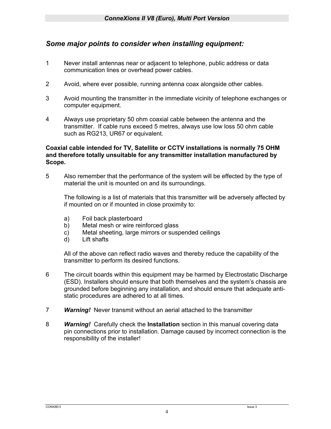# *Some major points to consider when installing equipment:*

- 1 Never install antennas near or adjacent to telephone, public address or data communication lines or overhead power cables.
- 2 Avoid, where ever possible, running antenna coax alongside other cables.
- 3 Avoid mounting the transmitter in the immediate vicinity of telephone exchanges or computer equipment.
- 4 Always use proprietary 50 ohm coaxial cable between the antenna and the transmitter. If cable runs exceed 5 metres, always use low loss 50 ohm cable such as RG213, UR67 or equivalent.

# **Coaxial cable intended for TV, Satellite or CCTV installations is normally 75 OHM and therefore totally unsuitable for any transmitter installation manufactured by Scope.**

5 Also remember that the performance of the system will be effected by the type of material the unit is mounted on and its surroundings.

The following is a list of materials that this transmitter will be adversely affected by if mounted on or if mounted in close proximity to:

- a) Foil back plasterboard
- b) Metal mesh or wire reinforced glass
- c) Metal sheeting, large mirrors or suspended ceilings
- d) Lift shafts

All of the above can reflect radio waves and thereby reduce the capability of the transmitter to perform its desired functions.

- 6 The circuit boards within this equipment may be harmed by Electrostatic Discharge (ESD). Installers should ensure that both themselves and the system's chassis are grounded before beginning any installation, and should ensure that adequate antistatic procedures are adhered to at all times.
- 7 *Warning!* Never transmit without an aerial attached to the transmitter
- 8 *Warning!* Carefully check the **Installation** section in this manual covering data pin connections prior to installation. Damage caused by incorrect connection is the responsibility of the installer!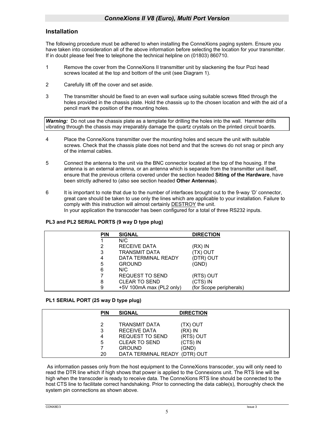### **Installation**

The following procedure must be adhered to when installing the ConneXions paging system. Ensure you have taken into consideration all of the above information before selecting the location for your transmitter. If in doubt please feel free to telephone the technical helpline on (01803) 860710.

- 1 Remove the cover from the ConneXions II transmitter unit by slackening the four Pozi head screws located at the top and bottom of the unit (see Diagram 1).
- 2 Carefully lift off the cover and set aside.
- 3 The transmitter should be fixed to an even wall surface using suitable screws fitted through the holes provided in the chassis plate. Hold the chassis up to the chosen location and with the aid of a pencil mark the position of the mounting holes.

**Warning:** Do not use the chassis plate as a template for drilling the holes into the wall. Hammer drills vibrating through the chassis may irreparably damage the quartz crystals on the printed circuit boards.

- 4 Place the ConneXions transmitter over the mounting holes and secure the unit with suitable screws. Check that the chassis plate does not bend and that the screws do not snag or pinch any of the internal cables.
- 5 Connect the antenna to the unit via the BNC connector located at the top of the housing. If the antenna is an external antenna, or an antenna which is separate from the transmitter unit itself, ensure that the previous criteria covered under the section headed **Siting of the Hardware**, have been strictly adhered to (also see section headed **Other Antennas**).
- 6 It is important to note that due to the number of interfaces brought out to the 9-way 'D' connector, great care should be taken to use only the lines which are applicable to your installation. Failure to comply with this instruction will almost certainly DESTROY the unit. In your application the transcoder has been configured for a total of three RS232 inputs.

### **PL3 and PL2 SERIAL PORTS (9 way D type plug)**

| <b>PIN</b> | <b>SIGNAL</b>            | <b>DIRECTION</b>        |  |  |
|------------|--------------------------|-------------------------|--|--|
|            | N/C                      |                         |  |  |
|            | <b>RECEIVE DATA</b>      | $(RX)$ IN               |  |  |
| 3          | <b>TRANSMIT DATA</b>     | TVO (XT)                |  |  |
| 4          | DATA TERMINAL READY      | (DTR) OUT               |  |  |
| 5          | <b>GROUND</b>            | (GND)                   |  |  |
| 6          | N/C                      |                         |  |  |
|            | <b>REQUEST TO SEND</b>   | (RTS) OUT               |  |  |
| 8          | <b>CLEAR TO SEND</b>     | (CTS) IN                |  |  |
| 9          | +5V 100mA max (PL2 only) | (for Scope peripherals) |  |  |

#### **PL1 SERIAL PORT (25 way D type plug)**

| <b>PIN</b> | <b>SIGNAL</b>                 | <b>DIRECTION</b> |
|------------|-------------------------------|------------------|
|            |                               |                  |
|            | TRANSMIT DATA                 | (TX) OUT         |
| 3          | RECEIVE DATA                  | $(RX)$ IN        |
|            |                               |                  |
| 4          | REQUEST TO SEND               | (RTS) OUT        |
| 5          | CLEAR TO SEND                 | $(CTS)$ IN       |
|            | <b>GROUND</b>                 | (GND)            |
| 20         | DATA TERMINAL READY (DTR) OUT |                  |

 As information passes only from the host equipment to the ConneXions transcoder, you will only need to read the DTR line which if high shows that power is applied to the Connexions unit. The RTS line will be high when the transcoder is ready to receive data. The ConneXions RTS line should be connected to the host CTS line to facilitate correct handshaking. Prior to connecting the data cable(s), thoroughly check the system pin connections as shown above.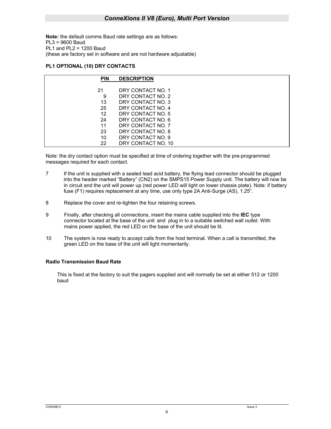**Note:** the default comms Baud rate settings are as follows: PL3 = 9600 Baud PL1 and PL2 = 1200 Baud (these are factory set in software and are not hardware adjustable)

#### **PL1 OPTIONAL (10) DRY CONTACTS**

| <b>PIN</b> | <b>DESCRIPTION</b> |
|------------|--------------------|
|            |                    |
| 21         | DRY CONTACT NO. 1  |
| 9          | DRY CONTACT NO. 2  |
| 13         | DRY CONTACT NO. 3  |
| 25         | DRY CONTACT NO. 4  |
| 12         | DRY CONTACT NO. 5  |
| 24         | DRY CONTACT NO. 6  |
| 11         | DRY CONTACT NO. 7  |
| 23         | DRY CONTACT NO. 8  |
| 10         | DRY CONTACT NO. 9  |
| 22         | DRY CONTACT NO. 10 |

Note: the dry contact option must be specified at time of ordering together with the pre-programmed messages required for each contact.

- 7 If the unit is supplied with a sealed lead acid battery, the flying lead connector should be plugged into the header marked "Battery" (CN2) on the SMPS15 Power Supply unit. The battery will now be in circuit and the unit will power up (red power LED will light on lower chassis plate). Note: if battery fuse (F1) requires replacement at any time, use only type 2A Anti-Surge (AS), 1.25".
- 8 Replace the cover and re-tighten the four retaining screws.
- 9 Finally, after checking all connections, insert the mains cable supplied into the **IEC** type connector located at the base of the unit and plug in to a suitable switched wall outlet. With mains power applied, the red LED on the base of the unit should be lit.
- 10 The system is now ready to accept calls from the host terminal. When a call is transmitted, the green LED on the base of the unit will light momentarily.

### **Radio Transmission Baud Rate**

This is fixed at the factory to suit the pagers supplied and will normally be set at either 512 or 1200 baud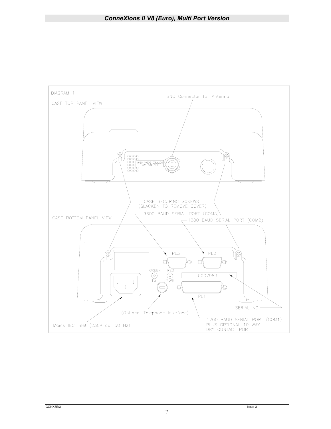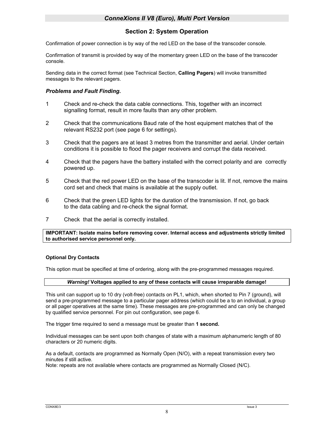## **Section 2: System Operation**

Confirmation of power connection is by way of the red LED on the base of the transcoder console.

Confirmation of transmit is provided by way of the momentary green LED on the base of the transcoder console.

Sending data in the correct format (see Technical Section, **Calling Pagers**) will invoke transmitted messages to the relevant pagers.

### *Problems and Fault Finding.*

- 1 Check and re-check the data cable connections. This, together with an incorrect signalling format, result in more faults than any other problem.
- 2 Check that the communications Baud rate of the host equipment matches that of the relevant RS232 port (see page 6 for settings).
- 3 Check that the pagers are at least 3 metres from the transmitter and aerial. Under certain conditions it is possible to flood the pager receivers and corrupt the data received.
- 4 Check that the pagers have the battery installed with the correct polarity and are correctly powered up.
- 5 Check that the red power LED on the base of the transcoder is lit. If not, remove the mains cord set and check that mains is available at the supply outlet.
- 6 Check that the green LED lights for the duration of the transmission. If not, go back to the data cabling and re-check the signal format.
- 7 Check that the aerial is correctly installed.

**IMPORTANT: Isolate mains before removing cover. Internal access and adjustments strictly limited to authorised service personnel only.** 

### **Optional Dry Contacts**

This option must be specified at time of ordering, along with the pre-programmed messages required.

#### *Warning!* **Voltages applied to any of these contacts will cause irreparable damage!**

This unit can support up to 10 dry (volt-free) contacts on PL1, which, when shorted to Pin 7 (ground), will send a pre-programmed message to a particular pager address (which could be a to an individual, a group or all pager operatives at the same time). These messages are pre-programmed and can only be changed by qualified service personnel. For pin out configuration, see page 6.

The trigger time required to send a message must be greater than **1 second.** 

Individual messages can be sent upon both changes of state with a maximum alphanumeric length of 80 characters or 20 numeric digits.

As a default, contacts are programmed as Normally Open (N/O), with a repeat transmission every two minutes if still active.

Note: repeats are not available where contacts are programmed as Normally Closed (N/C).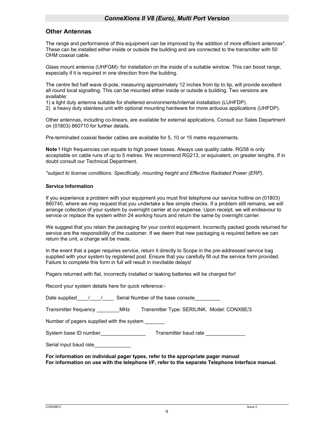### **Other Antennas**

The range and performance of this equipment can be improved by the addition of more efficient antennas\*. These can be installed either inside or outside the building and are connected to the transmitter with 50 OHM coaxial cable.

Glass mount antenna (UHFGM): for installation on the inside of a suitable window. This can boost range, especially if it is required in one direction from the building.

The centre fed half wave di-pole, measuring approximately 12 inches from tip to tip, will provide excellent all round local signalling. This can be mounted either inside or outside a building. Two versions are available:

1) a light duty antenna suitable for sheltered environments/internal installation (LUHFDP).

2) a heavy duty stainless unit with optional mounting hardware for more arduous applications (UHFDP).

Other antennas, including co-linears, are available for external applications. Consult our Sales Department on (01803) 860710 for further details.

Pre-terminated coaxial feeder cables are available for 5, 10 or 15 metre requirements.

**Note !** High frequencies can equate to high power losses. Always use quality cable. RG58 is only acceptable on cable runs of up to 5 metres. We recommend RG213, or equivalent, on greater lengths. If in doubt consult our Technical Department.

*\*subject to license conditions. Specifically, mounting height and Effective Radiated Power (ERP)*.

#### **Service Information**

If you experience a problem with your equipment you must first telephone our service hotline on (01803) 860740, where we may request that you undertake a few simple checks. If a problem still remains, we will arrange collection of your system by overnight carrier at our expense. Upon receipt, we will endeavour to service or replace the system within 24 working hours and return the same by overnight carrier.

We suggest that you retain the packaging for your control equipment. Incorrectly packed goods returned for service are the responsibility of the customer. If we deem that new packaging is required before we can return the unit, a charge will be made.

In the event that a pager requires service, return it directly to Scope in the pre-addressed service bag supplied with your system by registered post. Ensure that you carefully fill out the service form provided. Failure to complete this form in full will result in inevitable delays!

Pagers returned with flat, incorrectly installed or leaking batteries will be charged for!

Record your system details here for quick reference:-

| Date supplied 1 / Serial Number of the base console                                                                                                                                  |  |  |  |  |  |
|--------------------------------------------------------------------------------------------------------------------------------------------------------------------------------------|--|--|--|--|--|
| Transmitter frequency __________MHz Transmitter Type: SERILINK. Model: CONX8E/3                                                                                                      |  |  |  |  |  |
| Number of pagers supplied with the system _______                                                                                                                                    |  |  |  |  |  |
| Transmitter baud rate                                                                                                                                                                |  |  |  |  |  |
| Serial input baud rate                                                                                                                                                               |  |  |  |  |  |
| For information on individual pager types, refer to the appropriate pager manual<br>For information on use with the telephone I/F, refer to the separate Telephone Interface manual. |  |  |  |  |  |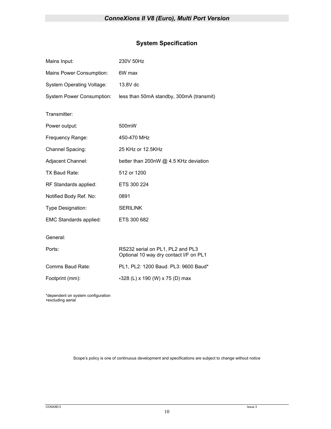# **System Specification**

| Mains Input:                     | 230V 50Hz                                                                  |
|----------------------------------|----------------------------------------------------------------------------|
| Mains Power Consumption:         | 6W max                                                                     |
| <b>System Operating Voltage:</b> | 13.8V dc                                                                   |
| <b>System Power Consumption:</b> | less than 50mA standby, 300mA (transmit)                                   |
| Transmitter:                     |                                                                            |
| Power output:                    | 500 <sub>m</sub> W                                                         |
| Frequency Range:                 | 450-470 MHz                                                                |
| Channel Spacing:                 | 25 KHz or 12.5KHz                                                          |
| Adjacent Channel:                | better than 200nW @ 4.5 KHz deviation                                      |
| TX Baud Rate:                    | 512 or 1200                                                                |
| RF Standards applied:            | ETS 300 224                                                                |
| Notified Body Ref. No:           | 0891                                                                       |
| Type Designation:                | <b>SERILINK</b>                                                            |
| EMC Standards applied:           | ETS 300 682                                                                |
| General:                         |                                                                            |
| Ports:                           | RS232 serial on PL1, PL2 and PL3<br>Optional 10 way dry contact I/F on PL1 |
| Comms Baud Rate:                 | PL1, PL2: 1200 Baud. PL3: 9600 Baud*                                       |
| Footprint (mm):                  | $\cdot$ 328 (L) x 190 (W) x 75 (D) max                                     |
|                                  |                                                                            |

\*dependent on system configuration excluding aerial

Scope's policy is one of continuous development and specifications are subject to change without notice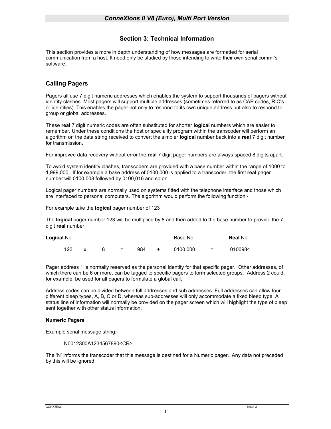### **Section 3: Technical Information**

This section provides a more in depth understanding of how messages are formatted for serial communication from a host. It need only be studied by those intending to write their own serial comm.'s software.

## **Calling Pagers**

Pagers all use 7 digit numeric addresses which enables the system to support thousands of pagers without identity clashes. Most pagers will support multiple addresses (sometimes referred to as CAP codes, RIC's or identities). This enables the pager not only to respond to its own unique address but also to respond to group or global addresses.

These **real** 7 digit numeric codes are often substituted for shorter **logical** numbers which are easier to remember. Under these conditions the host or speciality program within the transcoder will perform an algorithm on the data string received to convert the simpler **logical** number back into a **real** 7 digit number for transmission.

For improved data recovery without error the **real** 7 digit pager numbers are always spaced 8 digits apart.

To avoid system identity clashes, transcoders are provided with a base number within the range of 1000 to 1,999,000. If for example a base address of 0100,000 is applied to a transcoder, the first **real** pager number will 0100,008 followed by 0100,016 and so on.

Logical pager numbers are normally used on systems fitted with the telephone interface and those which are interfaced to personal computers. The algorithm would perform the following function:-

For example take the **logical** pager number of 123

The **logical** pager number 123 will be multiplied by 8 and then added to the base number to provide the 7 digit **real** number

| <b>Logical No</b> |  |                           |     |         | Base No  |          | <b>Real No</b> |
|-------------------|--|---------------------------|-----|---------|----------|----------|----------------|
| 123               |  | $\mathbf{r} = \mathbf{r}$ | 984 | $+$ $-$ | 0100.000 | $\equiv$ | 0100984        |

Pager address 1 is normally reserved as the personal identity for that specific pager. Other addresses, of which there can be 6 or more, can be tagged to specific pagers to form selected groups. Address 2 could, for example, be used for all pagers to formulate a global call.

Address codes can be divided between full addresses and sub addresses. Full addresses can allow four different bleep types, A, B, C or D, whereas sub-addresses will only accommodate a fixed bleep type. A status line of information will normally be provided on the pager screen which will highlight the type of bleep sent together with other status information.

### **Numeric Pagers**

Example serial message string:-

N0012300A1234567890<CR>

The 'N' informs the transcoder that this message is destined for a Numeric pager. Any data not preceded by this will be ignored.